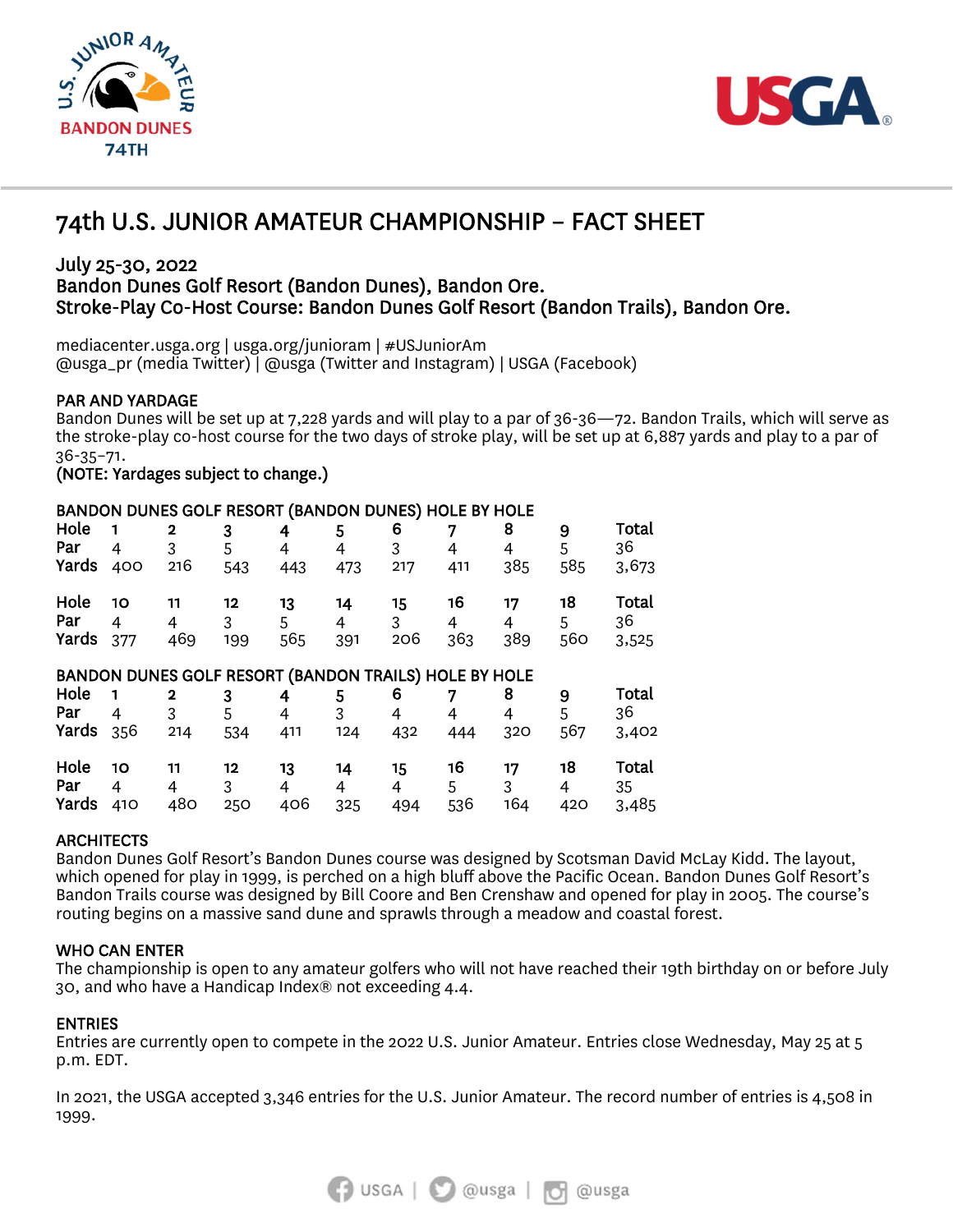



# I 74th U.S. JUNIOR AMATEUR CHAMPIONSHIP – FACT SHEET

# July 25-30, 2022 Bandon Dunes Golf Resort (Bandon Dunes), Bandon Ore. Stroke-Play Co-Host Course: Bandon Dunes Golf Resort (Bandon Trails), Bandon Ore.

mediacenter.usga.org | usga.org/junioram | #USJuniorAm @usga\_pr (media Twitter) | @usga (Twitter and Instagram) | USGA (Facebook)

PAR AND YARDAGE<br>Bandon Dunes will be set up at 7,228 yards and will play to a par of 36-36—72. Bandon Trails, which will serve as the stroke-play co-host course for the two days of stroke play, will be set up at 6,887 yards and play to a par of 36-35–71.

(NOTE: Yardages subject to change.)

# BANDON DUNES GOLF RESORT (BANDON DUNES) HOLE BY HOLE

| Hole<br>Par<br>Yards                                  | 4<br>400       | $\overline{2}$<br>3<br>216 | 3<br>5<br>543  | 4<br>4<br>443  | 5<br>4<br>473  | 6<br>3<br>217  | 7<br>4<br>411  | 8<br>4<br>385  | 9<br>5<br>585  | Total<br>36<br>3,673 |
|-------------------------------------------------------|----------------|----------------------------|----------------|----------------|----------------|----------------|----------------|----------------|----------------|----------------------|
| Hole<br>Par<br>Yards                                  | 10<br>4<br>377 | 11<br>4<br>469             | 12<br>3<br>199 | 13<br>5<br>565 | 14<br>4<br>391 | 15<br>3<br>206 | 16<br>4<br>363 | 17<br>4<br>389 | 18<br>5<br>560 | Total<br>36<br>3,525 |
| BANDON DUNES GOLF RESORT (BANDON TRAILS) HOLE BY HOLE |                |                            |                |                |                |                |                |                |                |                      |
| Hole                                                  |                | 2                          | 3              | 4              | 5              | 6              |                | 8              | 9              | <b>Total</b>         |
| Par                                                   | 4              | 3                          | 5              | 4              | 3              | 4              | 4              | 4              | 5              | 36                   |
| Yards                                                 | 356            | 214                        | 534            | 411            | 124            | 432            | 444            | 320            | 567            | 3,402                |
| Hole                                                  | 10             | 11                         | 12             | 13             | 14             | 15             | 16             | 17             | 18             | Total                |
| Par                                                   | 4              | 4                          | 3              | 4              | 4              | 4              | 5              | 3              | 4              | 35                   |
| Yards                                                 | 410            | 480                        | 250            | 406            | 325            | 494            | 536            | 164            | 420            | 3,485                |

# **ARCHITECTS**

Bandon Dunes Golf Resort's Bandon Dunes course was designed by Scotsman David McLay Kidd. The layout, which opened for play in 1999, is perched on a high bluff above the Pacific Ocean. Bandon Dunes Golf Resort's Bandon Trails course was designed by Bill Coore and Ben Crenshaw and opened for play in 2005. The course's routing begins on a massive sand dune and sprawls through a meadow and coastal forest.

# WHO CAN ENTER

The championship is open to any amateur golfers who will not have reached their 19th birthday on or before July 30, and who have a Handicap Index® not exceeding 4.4.

ENTRIES<br>Entries are currently open to compete in the 2022 U.S. Junior Amateur. Entries close Wednesday, May 25 at 5 p.m. EDT.

In 2021, the USGA accepted 3,346 entries for the U.S. Junior Amateur. The record number of entries is 4,508 in 1999.

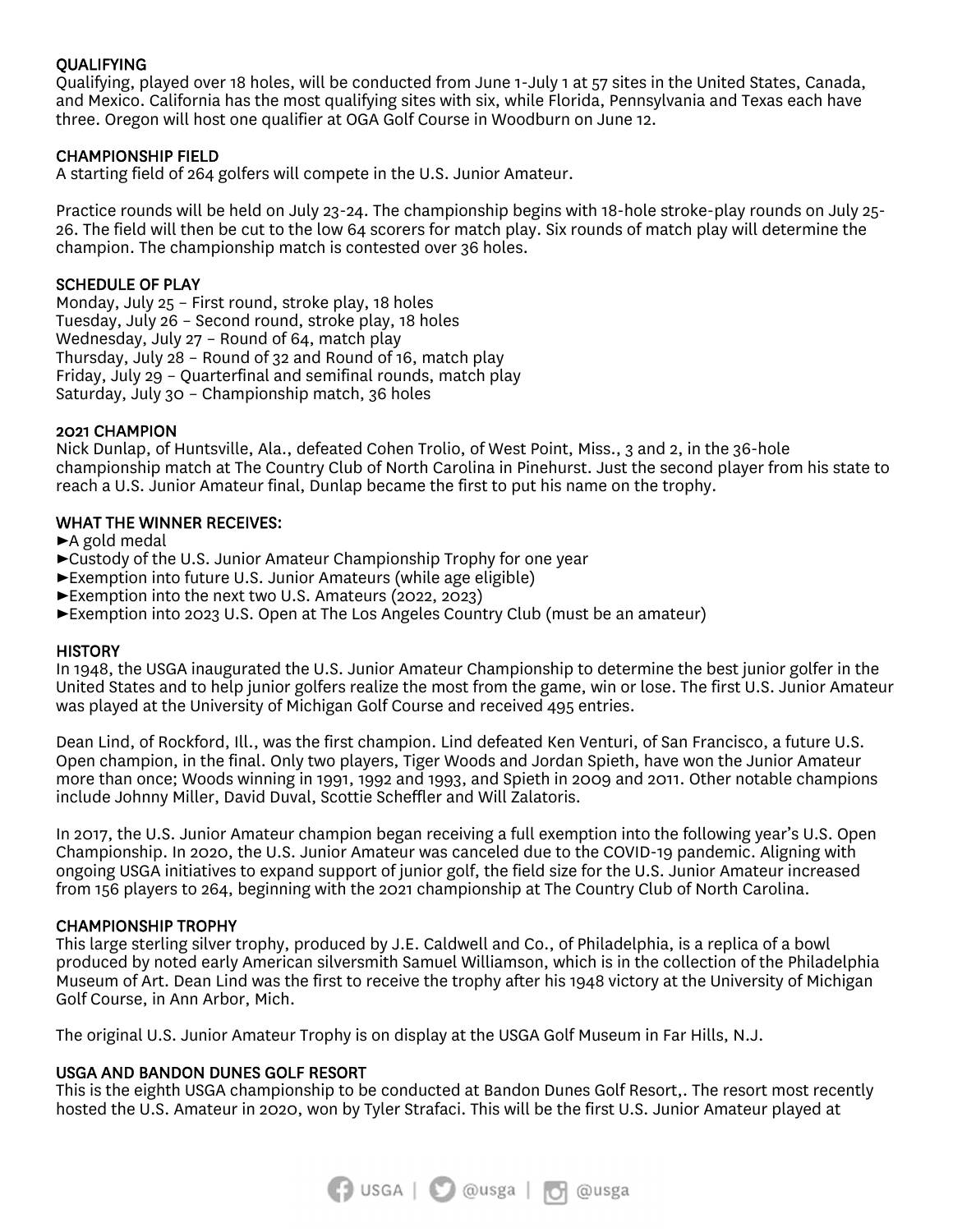# **OUALIFYING**

Qualifying, played over 18 holes, will be conducted from June 1-July 1 at 57 sites in the United States, Canada, and Mexico. California has the most qualifying sites with six, while Florida, Pennsylvania and Texas each have three. Oregon will host one qualifier at OGA Golf Course in Woodburn on June 12.

# CHAMPIONSHIP FIELD

A starting field of 264 golfers will compete in the U.S. Junior Amateur.

Practice rounds will be held on July 23-24. The championship begins with 18-hole stroke-play rounds on July 25- 26. The field will then be cut to the low 64 scorers for match play. Six rounds of match play will determine the champion. The championship match is contested over 36 holes.

### SCHEDULE OF PLAY

Monday, July 25 – First round, stroke play, 18 holes Tuesday, July 26 – Second round, stroke play, 18 holes Wednesday, July 27 – Round of 64, match play Thursday, July 28 – Round of 32 and Round of 16, match play Friday, July 29 – Quarterfinal and semifinal rounds, match play Saturday, July 30 – Championship match, 36 holes

### 2021 CHAMPION

Nick Dunlap, of Huntsville, Ala., defeated Cohen Trolio, of West Point, Miss., 3 and 2, in the 36-hole championship match at The Country Club of North Carolina in Pinehurst. Just the second player from his state to reach a U.S. Junior Amateur final, Dunlap became the first to put his name on the trophy.

### WHAT THE WINNER RECEIVES:

►A gold medal

- ►Custody of the U.S. Junior Amateur Championship Trophy for one year
- ►Exemption into future U.S. Junior Amateurs (while age eligible)
- ►Exemption into the next two U.S. Amateurs (2022, 2023)
- ►Exemption into 2023 U.S. Open at The Los Angeles Country Club (must be an amateur)

#### **HISTORY**

In 1948, the USGA inaugurated the U.S. Junior Amateur Championship to determine the best junior golfer in the United States and to help junior golfers realize the most from the game, win or lose. The first U.S. Junior Amateur was played at the University of Michigan Golf Course and received 495 entries.

Dean Lind, of Rockford, Ill., was the first champion. Lind defeated Ken Venturi, of San Francisco, a future U.S. Open champion, in the final. Only two players, Tiger Woods and Jordan Spieth, have won the Junior Amateur more than once; Woods winning in 1991, 1992 and 1993, and Spieth in 2009 and 2011. Other notable champions include Johnny Miller, David Duval, Scottie Scheffler and Will Zalatoris.

In 2017, the U.S. Junior Amateur champion began receiving a full exemption into the following year's U.S. Open Championship. In 2020, the U.S. Junior Amateur was canceled due to the COVID-19 pandemic. Aligning with ongoing USGA initiatives to expand support of junior golf, the field size for the U.S. Junior Amateur increased from 156 players to 264, beginning with the 2021 championship at The Country Club of North Carolina.

#### CHAMPIONSHIP TROPHY

This large sterling silver trophy, produced by J.E. Caldwell and Co., of Philadelphia, is a replica of a bowl produced by noted early American silversmith Samuel Williamson, which is in the collection of the Philadelphia Museum of Art. Dean Lind was the first to receive the trophy after his 1948 victory at the University of Michigan Golf Course, in Ann Arbor, Mich.

The original U.S. Junior Amateur Trophy is on display at the USGA Golf Museum in Far Hills, N.J.

#### USGA AND BANDON DUNES GOLF RESORT

This is the eighth USGA championship to be conducted at Bandon Dunes Golf Resort,. The resort most recently hosted the U.S. Amateur in 2020, won by Tyler Strafaci. This will be the first U.S. Junior Amateur played at

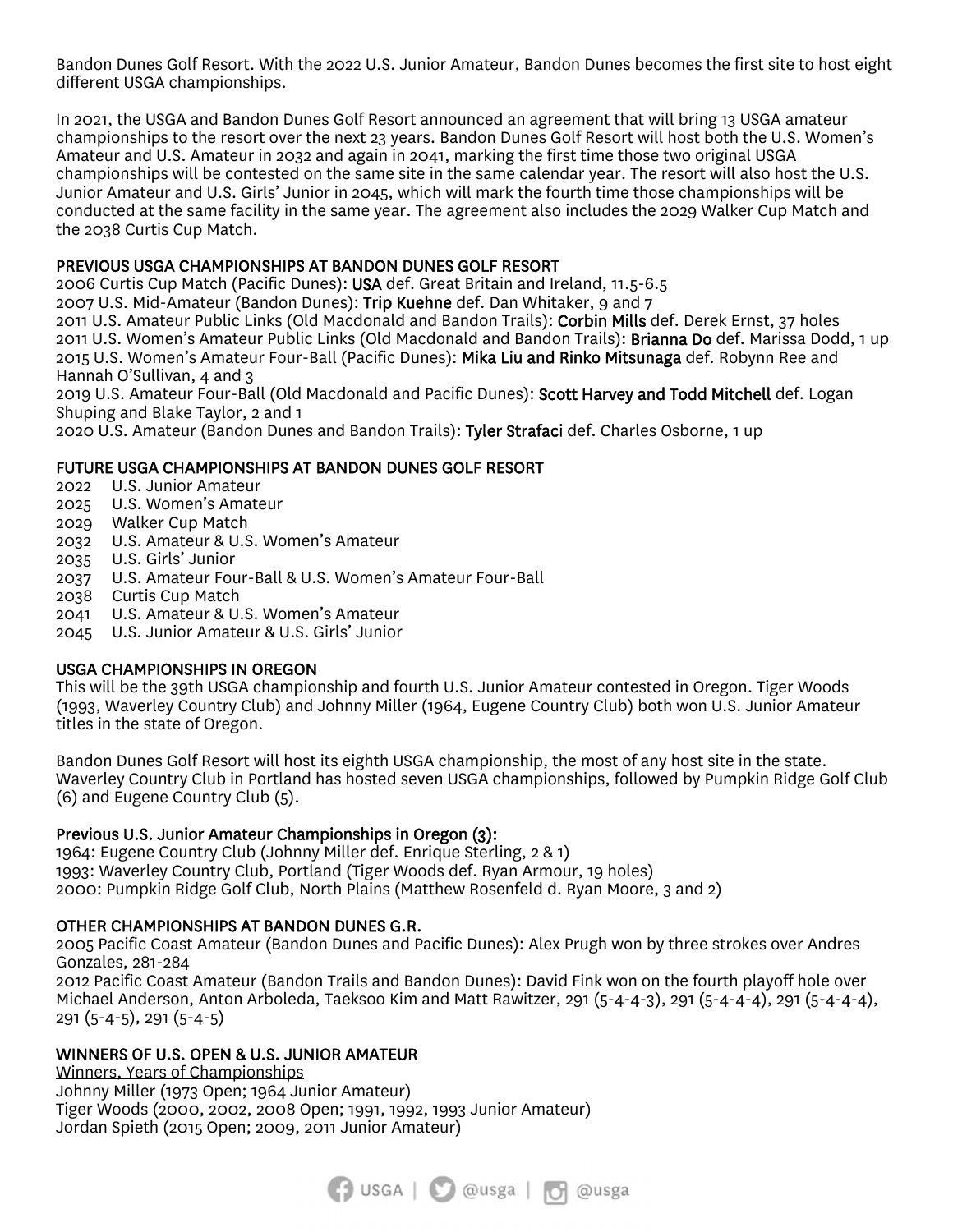Bandon Dunes Golf Resort. With the 2022 U.S. Junior Amateur, Bandon Dunes becomes the first site to host eight different USGA championships.

In 2021, the USGA and Bandon Dunes Golf Resort announced an agreement that will bring 13 USGA amateur championships to the resort over the next 23 years. Bandon Dunes Golf Resort will host both the U.S. Women's Amateur and U.S. Amateur in 2032 and again in 2041, marking the first time those two original USGA championships will be contested on the same site in the same calendar year. The resort will also host the U.S. Junior Amateur and U.S. Girls' Junior in 2045, which will mark the fourth time those championships will be conducted at the same facility in the same year. The agreement also includes the 2029 Walker Cup Match and the 2038 Curtis Cup Match.

# PREVIOUS USGA CHAMPIONSHIPS AT BANDON DUNES GOLF RESORT

2006 Curtis Cup Match (Pacific Dunes): USA def. Great Britain and Ireland, 11.5-6.5 2007 U.S. Mid-Amateur (Bandon Dunes): Trip Kuehne def. Dan Whitaker, 9 and 7

2011 U.S. Amateur Public Links (Old Macdonald and Bandon Trails): Corbin Mills def. Derek Ernst, 37 holes 2011 U.S. Women's Amateur Public Links (Old Macdonald and Bandon Trails): Brianna Do def. Marissa Dodd, 1 up 2015 U.S. Women's Amateur Four-Ball (Pacific Dunes): Mika Liu and Rinko Mitsunaga def. Robynn Ree and Hannah O'Sullivan, 4 and 3

2019 U.S. Amateur Four-Ball (Old Macdonald and Pacific Dunes): Scott Harvey and Todd Mitchell def. Logan Shuping and Blake Taylor, 2 and 1

2020 U.S. Amateur (Bandon Dunes and Bandon Trails): Tyler Strafaci def. Charles Osborne, 1 up

# FUTURE USGA CHAMPIONSHIPS AT BANDON DUNES GOLF RESORT

- 2022 U.S. Junior Amateur
- 2025 U.S. Women's Amateur
- 2029 Walker Cup Match
- 2032 U.S. Amateur & U.S. Women's Amateur
- 2035 U.S. Girls' Junior
- 2037 U.S. Amateur Four-Ball & U.S. Women's Amateur Four-Ball
- 2038 Curtis Cup Match
- 2041 U.S. Amateur & U.S. Women's Amateur
- 2045 U.S. Junior Amateur & U.S. Girls' Junior

# USGA CHAMPIONSHIPS IN OREGON

This will be the 39th USGA championship and fourth U.S. Junior Amateur contested in Oregon. Tiger Woods (1993, Waverley Country Club) and Johnny Miller (1964, Eugene Country Club) both won U.S. Junior Amateur titles in the state of Oregon.

Bandon Dunes Golf Resort will host its eighth USGA championship, the most of any host site in the state. Waverley Country Club in Portland has hosted seven USGA championships, followed by Pumpkin Ridge Golf Club (6) and Eugene Country Club (5).

# Previous U.S. Junior Amateur Championships in Oregon (3):

1964: Eugene Country Club (Johnny Miller def. Enrique Sterling, 2 & 1) 1993: Waverley Country Club, Portland (Tiger Woods def. Ryan Armour, 19 holes) 2000: Pumpkin Ridge Golf Club, North Plains (Matthew Rosenfeld d. Ryan Moore, 3 and 2)

# OTHER CHAMPIONSHIPS AT BANDON DUNES G.R.

2005 Pacific Coast Amateur (Bandon Dunes and Pacific Dunes): Alex Prugh won by three strokes over Andres Gonzales, 281-284 2012 Pacific Coast Amateur (Bandon Trails and Bandon Dunes): David Fink won on the fourth playoff hole over Michael Anderson, Anton Arboleda, Taeksoo Kim and Matt Rawitzer, 291 (5-4-4-3), 291 (5-4-4-4), 291 (5-4-4-4),

291 (5-4-5), 291 (5-4-5)

# WINNERS OF U.S. OPEN & U.S. JUNIOR AMATEUR

Winners, Years of Championships Johnny Miller (1973 Open; 1964 Junior Amateur) Tiger Woods (2000, 2002, 2008 Open; 1991, 1992, 1993 Junior Amateur) Jordan Spieth (2015 Open; 2009, 2011 Junior Amateur)